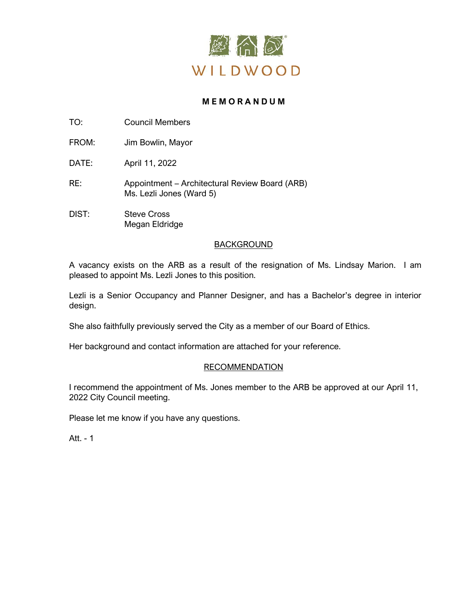

# **M E M O R A N D U M**

TO: Council Members

FROM: Jim Bowlin, Mayor

DATE: April 11, 2022

- RE: Appointment Architectural Review Board (ARB) Ms. Lezli Jones (Ward 5)
- DIST: Steve Cross Megan Eldridge

# BACKGROUND

A vacancy exists on the ARB as a result of the resignation of Ms. Lindsay Marion. I am pleased to appoint Ms. Lezli Jones to this position.

Lezli is a Senior Occupancy and Planner Designer, and has a Bachelor's degree in interior design.

She also faithfully previously served the City as a member of our Board of Ethics.

Her background and contact information are attached for your reference.

# RECOMMENDATION

I recommend the appointment of Ms. Jones member to the ARB be approved at our April 11, 2022 City Council meeting.

Please let me know if you have any questions.

Att. - 1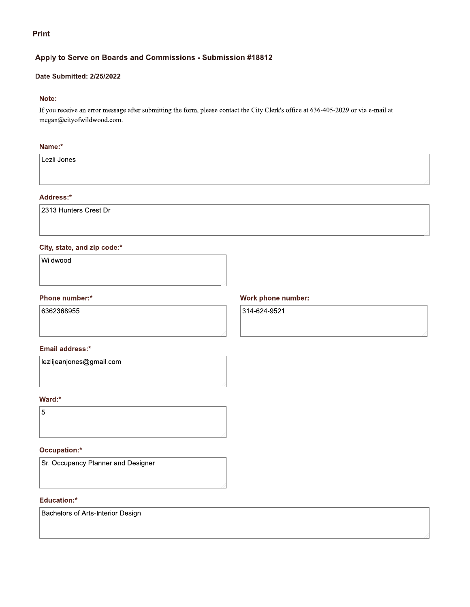**Print** 

# Apply to Serve on Boards and Commissions - Submission #18812

# Date Submitted: 2/25/2022

### Note:

If you receive an error message after submitting the form, please contact the City Clerk's office at 636-405-2029 or via e-mail at megan@cityofwildwood.com.

## Name:\*

Lezli Jones

## Address:\*

2313 Hunters Crest Dr

### City, state, and zip code:\*

Wildwood

#### Phone number:\*

6362368955

#### Email address:\*

lezlijeanjones@gmail.com

#### Ward:\*

 $\overline{5}$ 

# Occupation:\*

Sr. Occupancy Planner and Designer

#### Education:\*

Bachelors of Arts-Interior Design

### Work phone number:

314-624-9521